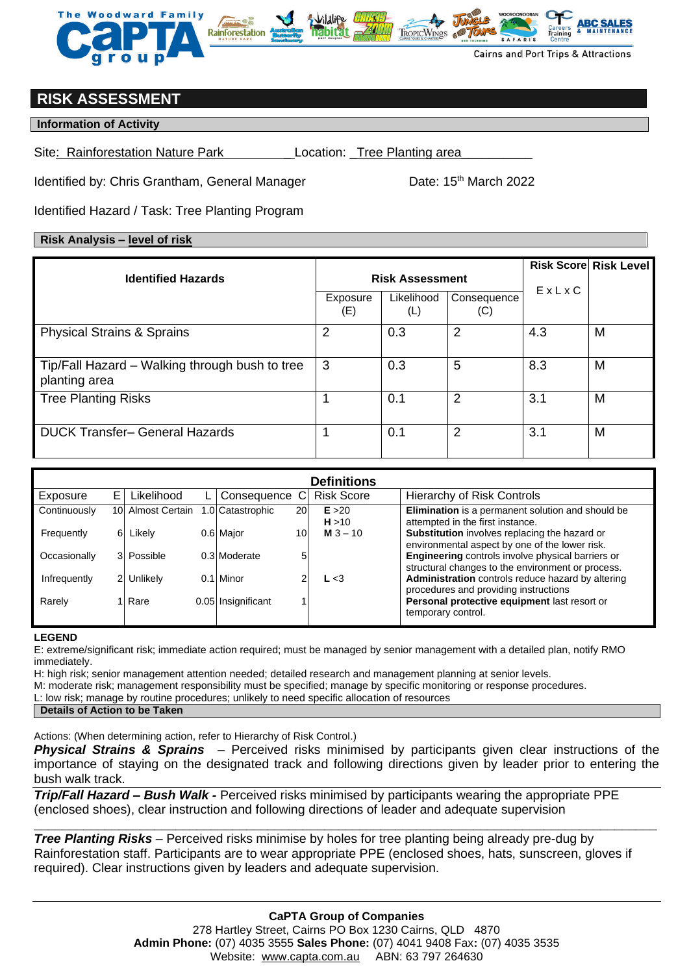

# **RISK ASSESSMENT**

### **Information of Activity**

Site: Rainforestation Nature Park Location: Tree Planting area

Identified by: Chris Grantham, General Manager Date: 15<sup>th</sup> March 2022

Identified Hazard / Task: Tree Planting Program

## **Risk Analysis – level of risk**

| <b>Identified Hazards</b>                                       | <b>Risk Assessment</b> |                   |                    |       | <b>Risk Score Risk Level</b> |
|-----------------------------------------------------------------|------------------------|-------------------|--------------------|-------|------------------------------|
|                                                                 | Exposure<br>(E)        | Likelihood<br>(L) | Consequence<br>(C) | EXLXC |                              |
| <b>Physical Strains &amp; Sprains</b>                           | 2                      | 0.3               | 2                  | 4.3   | M                            |
| Tip/Fall Hazard – Walking through bush to tree<br>planting area | 3                      | 0.3               | 5                  | 8.3   | M                            |
| <b>Tree Planting Risks</b>                                      |                        | 0.1               | 2                  | 3.1   | M                            |
| <b>DUCK Transfer- General Hazards</b>                           |                        | 0.1               | 2                  | 3.1   | M                            |

| <b>Definitions</b> |                |                   |      |                    |                 |                   |                                                                                                        |  |  |  |
|--------------------|----------------|-------------------|------|--------------------|-----------------|-------------------|--------------------------------------------------------------------------------------------------------|--|--|--|
| Exposure           | E.             | Likelihood        |      | Consequence C      |                 | <b>Risk Score</b> | <b>Hierarchy of Risk Controls</b>                                                                      |  |  |  |
| Continuously       |                | 10 Almost Certain |      | 1.0 Catastrophic   | 20              | E > 20<br>H > 10  | Elimination is a permanent solution and should be<br>attempted in the first instance.                  |  |  |  |
| Frequently         | 6              | Likely            |      | 0.6 Major          | 10 <sub>l</sub> | <b>M</b> $3 - 10$ | Substitution involves replacing the hazard or<br>environmental aspect by one of the lower risk.        |  |  |  |
| Occasionally       |                | 3 Possible        |      | 0.3 Moderate       | 5               |                   | Engineering controls involve physical barriers or<br>structural changes to the environment or process. |  |  |  |
| Infrequently       | $\overline{2}$ | Unlikely          | 0.11 | Minor              | ◠               | L < 3             | Administration controls reduce hazard by altering<br>procedures and providing instructions             |  |  |  |
| Rarely             |                | Rare              |      | 0.05 Insignificant |                 |                   | Personal protective equipment last resort or<br>temporary control.                                     |  |  |  |

#### **LEGEND**

E: extreme/significant risk; immediate action required; must be managed by senior management with a detailed plan, notify RMO immediately.

H: high risk; senior management attention needed; detailed research and management planning at senior levels.

M: moderate risk; management responsibility must be specified; manage by specific monitoring or response procedures.

L: low risk; manage by routine procedures; unlikely to need specific allocation of resources

#### **Details of Action to be Taken**

Actions: (When determining action, refer to Hierarchy of Risk Control.)

*Physical Strains & Sprains* – Perceived risks minimised by participants given clear instructions of the importance of staying on the designated track and following directions given by leader prior to entering the bush walk track.

**\_\_\_\_\_\_\_\_\_\_\_\_\_\_\_\_\_\_\_\_\_\_\_\_\_\_\_\_\_\_\_\_\_\_\_\_\_\_\_\_\_\_\_\_\_\_\_\_\_\_\_\_\_\_\_\_\_\_\_\_\_\_\_\_\_\_\_\_\_\_\_\_\_\_\_\_\_\_\_\_\_\_\_\_\_\_\_\_**

*Trip/Fall Hazard – Bush Walk -* Perceived risks minimised by participants wearing the appropriate PPE (enclosed shoes), clear instruction and following directions of leader and adequate supervision

*Tree Planting Risks* – Perceived risks minimise by holes for tree planting being already pre-dug by Rainforestation staff. Participants are to wear appropriate PPE (enclosed shoes, hats, sunscreen, gloves if required). Clear instructions given by leaders and adequate supervision.